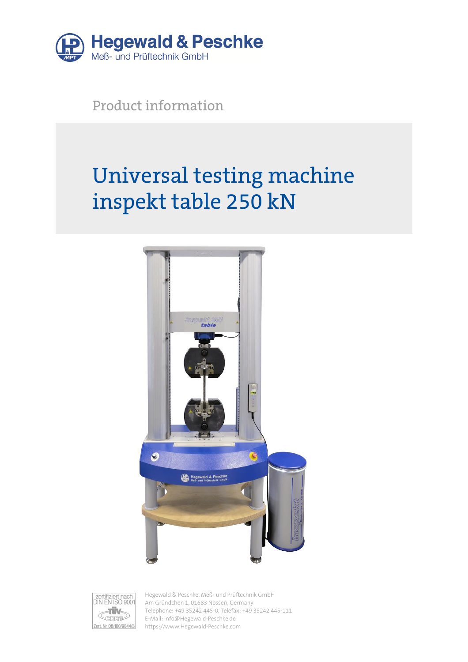

Product information

# Universal testing machine inspekt table 250 kN





Hegewald & Peschke, Meß- und Prüftechnik GmbH Am Gründchen 1, 01683 Nossen, Germany Telephone: +49 35242 445-0, Telefax: +49 35242 445-111 E-Mail: info@Hegewald-Peschke.de https://www.Hegewald-Peschke.com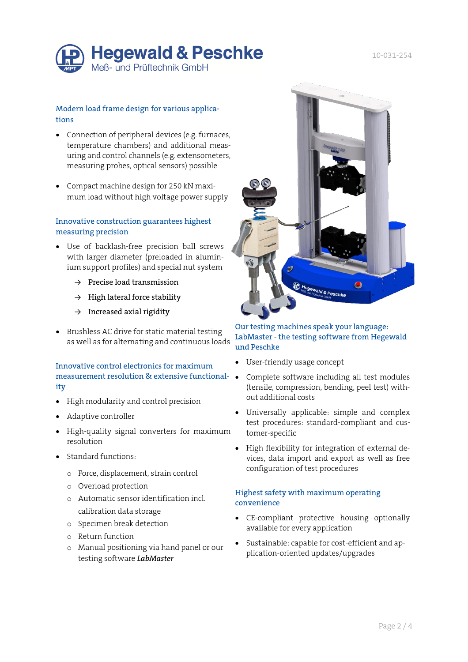

# Modern load frame design for various applications

- Connection of peripheral devices (e.g. furnaces, temperature chambers) and additional measuring and control channels (e.g. extensometers, measuring probes, optical sensors) possible
- Compact machine design for 250 kN maximum load without high voltage power supply

#### Innovative construction guarantees highest measuring precision

- Use of backlash-free precision ball screws with larger diameter (preloaded in aluminium support profiles) and special nut system
	- $\rightarrow$  Precise load transmission
	- $\rightarrow$  High lateral force stability
	- $\rightarrow$  Increased axial rigidity
- Brushless AC drive for static material testing as well as for alternating and continuous loads

#### Innovative control electronics for maximum measurement resolution & extensive functionality

- High modularity and control precision
- Adaptive controller
- High-quality signal converters for maximum resolution
- Standard functions:
	- o Force, displacement, strain control
	- o Overload protection
	- o Automatic sensor identification incl. calibration data storage
	- o Specimen break detection
	- o Return function
	- o Manual positioning via hand panel or our testing software *LabMaster*



# Our testing machines speak your language: LabMaster - the testing software from Hegewald und Peschke

- User-friendly usage concept
- Complete software including all test modules (tensile, compression, bending, peel test) without additional costs
- Universally applicable: simple and complex test procedures: standard-compliant and customer-specific
- High flexibility for integration of external devices, data import and export as well as free configuration of test procedures

# Highest safety with maximum operating convenience

- CE-compliant protective housing optionally available for every application
- Sustainable: capable for cost-efficient and application-oriented updates/upgrades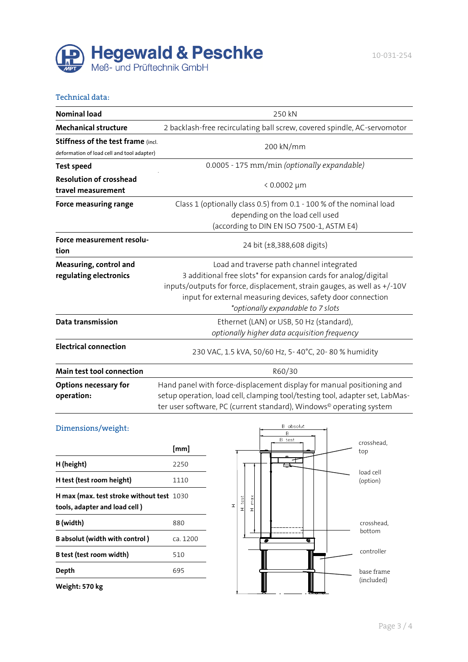

#### Technical data:

| <b>Nominal load</b>                                                              | 250 kN                                                                                                                                                                                                                                                                                        |  |
|----------------------------------------------------------------------------------|-----------------------------------------------------------------------------------------------------------------------------------------------------------------------------------------------------------------------------------------------------------------------------------------------|--|
| <b>Mechanical structure</b>                                                      | 2 backlash-free recirculating ball screw, covered spindle, AC-servomotor                                                                                                                                                                                                                      |  |
| Stiffness of the test frame (incl.<br>deformation of load cell and tool adapter) | 200 kN/mm                                                                                                                                                                                                                                                                                     |  |
| <b>Test speed</b>                                                                | 0.0005 - 175 mm/min (optionally expandable)                                                                                                                                                                                                                                                   |  |
| <b>Resolution of crosshead</b><br>travel measurement                             | $0.0002 \mu m$                                                                                                                                                                                                                                                                                |  |
| Force measuring range                                                            | Class 1 (optionally class 0.5) from 0.1 - 100 % of the nominal load<br>depending on the load cell used<br>(according to DIN EN ISO 7500-1, ASTM E4)                                                                                                                                           |  |
| Force measurement resolu-<br>tion                                                | 24 bit (±8,388,608 digits)                                                                                                                                                                                                                                                                    |  |
| Measuring, control and<br>regulating electronics                                 | Load and traverse path channel integrated<br>3 additional free slots* for expansion cards for analog/digital<br>inputs/outputs for force, displacement, strain gauges, as well as +/-10V<br>input for external measuring devices, safety door connection<br>*optionally expandable to 7 slots |  |
| Data transmission                                                                | Ethernet (LAN) or USB, 50 Hz (standard),<br>optionally higher data acquisition frequency                                                                                                                                                                                                      |  |
| <b>Electrical connection</b>                                                     | 230 VAC, 1.5 kVA, 50/60 Hz, 5-40°C, 20-80 % humidity                                                                                                                                                                                                                                          |  |
| Main test tool connection                                                        | R60/30                                                                                                                                                                                                                                                                                        |  |
| <b>Options necessary for</b><br>operation:                                       | Hand panel with force-displacement display for manual positioning and<br>setup operation, load cell, clamping tool/testing tool, adapter set, LabMas-<br>ter user software, PC (current standard), Windows <sup>®</sup> operating system                                                      |  |

# Dimensions/weight:

|                                                                            | [mm]     |
|----------------------------------------------------------------------------|----------|
| H (height)                                                                 | 2250     |
| H test (test room height)                                                  | 1110     |
| H max (max. test stroke without test 1030<br>tools, adapter and load cell) |          |
| B (width)                                                                  | 880      |
| <b>B</b> absolut (width with control)                                      | ca. 1200 |
| B test (test room width)                                                   | 510      |
| Depth                                                                      | 695      |
| Weight: 570 kg                                                             |          |